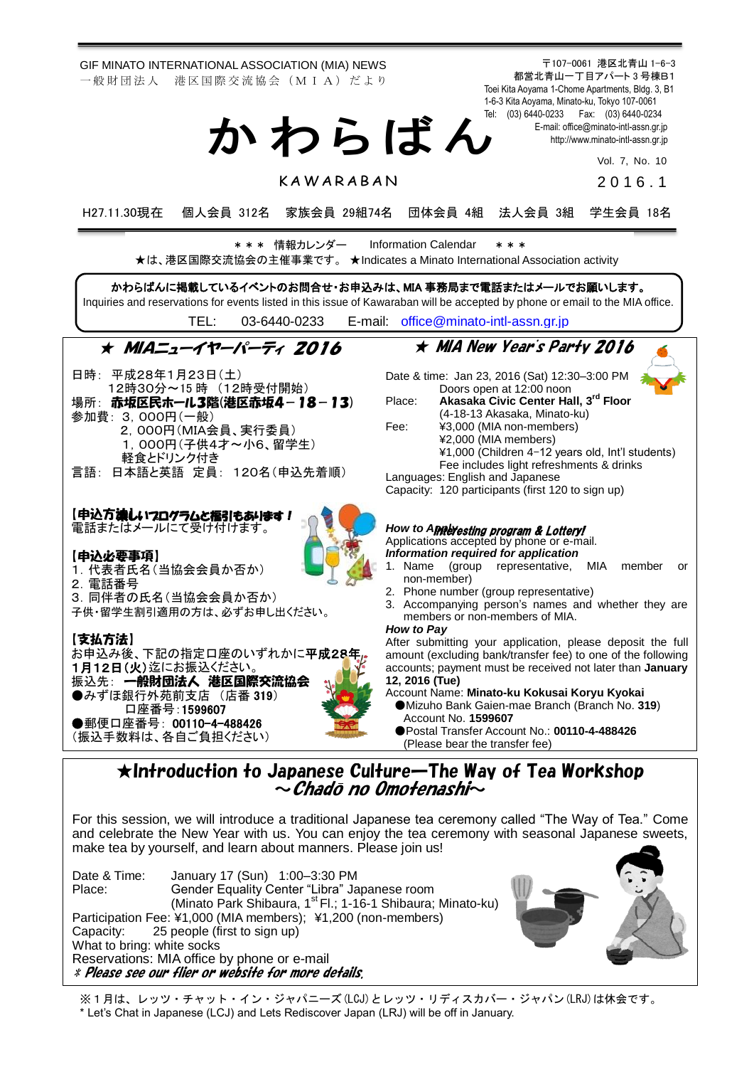GIF MINATO INTERNATIONAL ASSOCIATION (MIA) NEWS 一般財団法人 港区国際交流協会 (MIA) だより

〒107-0061 港区北青山 1-6-3 都営北青山一丁目アパート 3 号棟B1 Toei Kita Aoyama 1-Chome Apartments, Bldg. 3, B1 1-6-3 Kita Aoyama, Minato-ku, Tokyo 107-0061 Tel: (03) 6440-0233 Fax: (03) 6440-0234 E-mail[: office@minato-intl-assn.gr.jp](mailto:office@minato-intl-assn.gr.jp) [http://www.minato-intl-assn.gr.jp](http://www.minato-intl-assn.gr.jp/) か わ ら ば ん

Vol. 7, No. 10

**KAWARABAN** 

2 0 1 6 . 1

H27.11.30現在 個人会員 312名 家族会員 29組74名 団体会員 4組 法人会員 3組 学生会員 18名

\* \* \* 情報カレンダー Information Calendar \* \* \*



※1月は、レッツ・チャット・イン・ジャパニーズ(LCJ)とレッツ・リディスカバー・ジャパン(LRJ)は休会です。 \* Let's Chat in Japanese (LCJ) and Lets Rediscover Japan (LRJ) will be off in January.

Capacity: 25 people (first to sign up)

Reservations: MIA office by phone or e-mail \* Please see our flier or website for more details.

What to bring: white socks